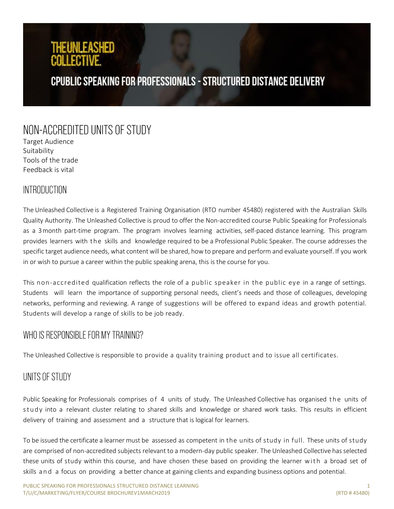## THEUNLEASHED ANI I FATIVE

## **CPUBLIC SPEAKING FOR PROFESSIONALS - STRUCTURED DISTANCE DELIVERY**

# NON-ACCREDITED UNITS OF STUDY

Target Audience Suitability Tools of the trade Feedback is vital

## **INTRODUCTION**

The Unleashed Collective is a Registered Training Organisation (RTO number 45480) registered with the Australian Skills Quality Authority. The Unleashed Collective is proud to offer the Non-accredited course Public Speaking for Professionals as a 3month part-time program. The program involves learning activities, self-paced distance learning. This program provides learners with the skills and knowledge required to be a Professional Public Speaker. The course addresses the specific target audience needs, what content will be shared, how to prepare and perform and evaluate yourself. If you work in or wish to pursue a career within the public speaking arena, this is the course for you.

This non-accredited qualification reflects the role of a public speaker in the public eye in a range of settings. Students will learn the importance of supporting personal needs, client's needs and those of colleagues, developing networks, performing and reviewing. A range of suggestions will be offered to expand ideas and growth potential. Students will develop a range of skills to be job ready.

### WHO IS RESPONSIBLE FOR MY TRAINING?

The Unleashed Collective is responsible to provide a quality training product and to issue all certificates.

#### UNITS OF STUDY

Public Speaking for Professionals comprises of 4 units of study. The Unleashed Collective has organised the units of study into a relevant cluster relating to shared skills and knowledge or shared work tasks. This results in efficient delivery of training and assessment and a structure that is logical for learners.

To be issued the certificate a learner must be assessed as competent in the units of study in full. These units of study are comprised of non-accredited subjects relevant to a modern-day public speaker. The Unleashed Collective has selected these units of study within this course, and have chosen these based on providing the learner with a broad set of skills and a focus on providing a better chance at gaining clients and expanding business options and potential.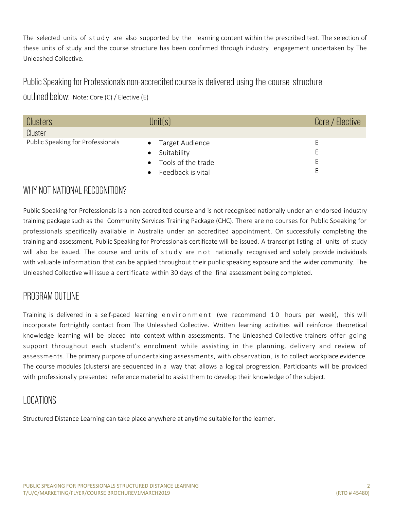The selected units of study are also supported by the learning content within the prescribed text. The selection of these units of study and the course structure has been confirmed through industry engagement undertaken by The Unleashed Collective.

#### Public Speaking for Professionals non-accredited course is delivered using the course structure

Outlined below: Note: Core (C) / Elective (E)

| Clusters                          | Unit(s)                  | Core / Elective |
|-----------------------------------|--------------------------|-----------------|
| Cluster                           |                          |                 |
| Public Speaking for Professionals | • Target Audience        | ⊢               |
|                                   | Suitability<br>$\bullet$ | ⊢               |
|                                   | • Tools of the trade     | ⊢               |
|                                   | Feedback is vital        |                 |

#### WHY NOT NATIONAL RECOGNITION?

Public Speaking for Professionals is a non-accredited course and is not recognised nationally under an endorsed industry training package such as the Community Services Training Package (CHC). There are no courses for Public Speaking for professionals specifically available in Australia under an accredited appointment. On successfully completing the training and assessment, Public Speaking for Professionals certificate will be issued. A transcript listing all units of study will also be issued. The course and units of  $stdy$  are n ot nationally recognised and solely provide individuals with valuable information that can be applied throughout their public speaking exposure and the wider community. The Unleashed Collective will issue a certificate within 30 days of the final assessment being completed.

#### PROGRAM OUTLINE

Training is delivered in a self-paced learning environment (we recommend 10 hours per week), this will incorporate fortnightly contact from The Unleashed Collective. Written learning activities will reinforce theoretical knowledge learning will be placed into context within assessments. The Unleashed Collective trainers offer going support throughout each student's enrolment while assisting in the planning, delivery and review of assessments. The primary purpose of undertaking assessments, with observation, is to collect workplace evidence. The course modules (clusters) are sequenced in a way that allows a logical progression. Participants will be provided with professionally presented reference material to assist them to develop their knowledge of the subject.

### LOCATIONS

Structured Distance Learning can take place anywhere at anytime suitable for the learner.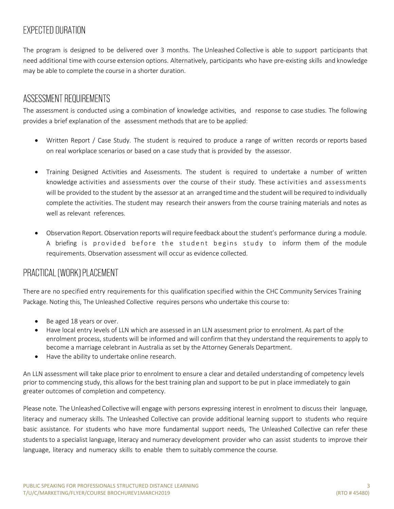## EXPECTED DURATION

The program is designed to be delivered over 3 months. The Unleashed Collective is able to support participants that need additional time with course extension options. Alternatively, participants who have pre-existing skills and knowledge may be able to complete the course in a shorter duration.

#### ASSESSMENT REQUIREMENTS

The assessment is conducted using a combination of knowledge activities, and response to case studies. The following provides a brief explanation of the assessment methods that are to be applied:

- Written Report / Case Study. The student is required to produce a range of written records or reports based on real workplace scenarios or based on a case study that is provided by the assessor.
- Training Designed Activities and Assessments. The student is required to undertake a number of written knowledge activities and assessments over the course of their study. These activities and assessments will be provided to the student by the assessor at an arranged time and the student will be required to individually complete the activities. The student may research their answers from the course training materials and notes as well as relevant references.
- Observation Report. Observation reports will require feedback about the student's performance during a module. A briefing is provided before the student begins study to inform them of the module requirements. Observation assessment will occur as evidence collected.

### PRACTICAL (WORK) PLACEMENT

There are no specified entry requirements for this qualification specified within the CHC Community Services Training Package. Noting this, The Unleashed Collective requires persons who undertake this course to:

- Be aged 18 years or over.
- Have local entry levels of LLN which are assessed in an LLN assessment prior to enrolment. As part of the enrolment process, students will be informed and will confirm that they understand the requirements to apply to become a marriage celebrant in Australia as set by the Attorney Generals Department.
- Have the ability to undertake online research.

An LLN assessment will take place prior to enrolment to ensure a clear and detailed understanding of competency levels prior to commencing study, this allows for the best training plan and support to be put in place immediately to gain greater outcomes of completion and competency.

Please note. The Unleashed Collective will engage with persons expressing interest in enrolment to discuss their language, literacy and numeracy skills. The Unleashed Collective can provide additional learning support to students who require basic assistance. For students who have more fundamental support needs, The Unleashed Collective can refer these students to a specialist language, literacy and numeracy development provider who can assist students to improve their language, literacy and numeracy skills to enable them to suitably commence the course.